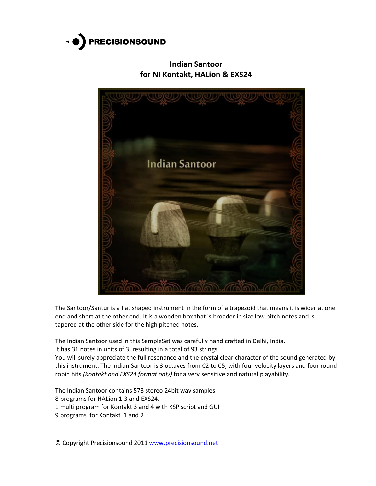

**Indian Santoor for NI Kontakt, HALion & EXS24**



The Santoor/Santur is a flat shaped instrument in the form of a trapezoid that means it is wider at one end and short at the other end. It is a wooden box that is broader in size low pitch notes and is tapered at the other side for the high pitched notes.

The Indian Santoor used in this SampleSet was carefully hand crafted in Delhi, India.

It has 31 notes in units of 3, resulting in a total of 93 strings.

You will surely appreciate the full resonance and the crystal clear character of the sound generated by this instrument. The Indian Santoor is 3 octaves from C2 to C5, with four velocity layers and four round robin hits *(Kontakt and EXS24 format only)* for a very sensitive and natural playability.

The Indian Santoor contains 573 stereo 24bit wav samples

8 programs for HALion 1-3 and EXS24.

1 multi program for Kontakt 3 and 4 with KSP script and GUI

9 programs for Kontakt 1 and 2

© Copyright Precisionsound 2011 [www.precisionsound.net](http://www.precisionsound.net/)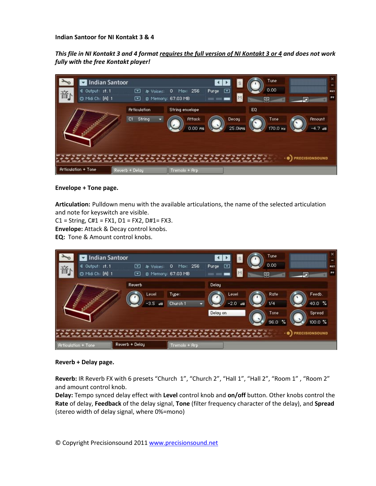## **Indian Santoor for NI Kontakt 3 & 4**

*This file in NI Kontakt 3 and 4 format requires the full version of NI Kontakt 3 or 4 and does not work fully with the free Kontakt player!*



#### **Envelope + Tone page.**

**Articulation:** Pulldown menu with the available articulations, the name of the selected articulation and note for keyswitch are visible.

 $C1 =$  String,  $C#1 = FX1$ ,  $D1 = FX2$ ,  $D#1 = FX3$ .

**Envelope:** Attack & Decay control knobs.

**EQ:** Tone & Amount control knobs.

|                                                                                                                 | Indian Santoor                      |               |                                                   |                   | Tune<br>s                                 | $\times$<br>-              |
|-----------------------------------------------------------------------------------------------------------------|-------------------------------------|---------------|---------------------------------------------------|-------------------|-------------------------------------------|----------------------------|
| 音                                                                                                               | € Output: st. 1<br>@ Midi Ch: [A] 1 | ☞<br>☞        | Max: 256<br>D.<br>h Voices:<br>B Memory: 67.03 MB | ⊡<br>Purge        | 0.00<br>M<br>dh                           | <b>AUX</b><br>PV           |
|                                                                                                                 |                                     | <b>Reverb</b> | Level<br>Type:<br>$-3.5$ as<br>Church 1           | Delay<br>Delay on | Rate<br>Leuel<br>$-2.0$ as<br>1/4<br>Tone | Feedb.<br>40.0 %<br>Spread |
| 100.0 %<br>96.0<br>嚸.<br><b>PRECISIONSOUND</b><br>Reverb + Delay<br>Tremolo + Arp<br><b>Articulation + Tone</b> |                                     |               |                                                   |                   |                                           |                            |

#### **Reverb + Delay page.**

**Reverb:** IR Reverb FX with 6 presets "Church 1", "Church 2", "Hall 1", "Hall 2", "Room 1" , "Room 2" and amount control knob.

**Delay:** Tempo synced delay effect with **Level** control knob and **on/off** button. Other knobs control the **Rate** of delay, **Feedback** of the delay signal, **Tone** (filter frequency character of the delay), and **Spread** (stereo width of delay signal, where 0%=mono)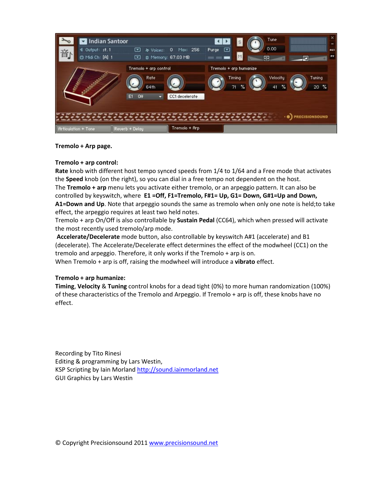

# **Tremolo + Arp page.**

## **Tremolo + arp control:**

**Rate** knob with different host tempo synced speeds from 1/4 to 1/64 and a Free mode that activates the **Speed** knob (on the right), so you can dial in a free tempo not dependent on the host. The **Tremolo + arp** menu lets you activate either tremolo, or an arpeggio pattern. It can also be controlled by keyswitch, where **E1 =Off, F1=Tremolo, F#1= Up, G1= Down, G#1=Up and Down, A1=Down and Up**. Note that arpeggio sounds the same as tremolo when only one note is held;to take effect, the arpeggio requires at least two held notes.

Tremolo + arp On/Off is also controllable by **Sustain Pedal** (CC64), which when pressed will activate the most recently used tremolo/arp mode.

**Accelerate/Decelerate** mode button, also controllable by keyswitch A#1 (accelerate) and B1 (decelerate). The Accelerate/Decelerate effect determines the effect of the modwheel (CC1) on the tremolo and arpeggio. Therefore, it only works if the Tremolo + arp is on.

When Tremolo + arp is off, raising the modwheel will introduce a **vibrato** effect.

# **Tremolo + arp humanize:**

**Timing**, **Velocity** & **Tuning** control knobs for a dead tight (0%) to more human randomization (100%) of these characteristics of the Tremolo and Arpeggio. If Tremolo + arp is off, these knobs have no effect.

Recording by Tito Rinesi Editing & programming by Lars Westin, KSP Scripting by Iain Morland [http://sound.iainmorland.net](http://sound.iainmorland.net/) GUI Graphics by Lars Westin